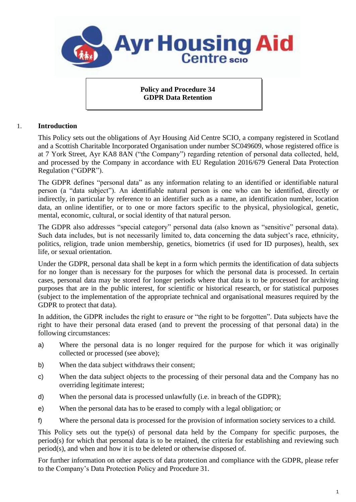

**Policy and Procedure 34 GDPR Data Retention**

### 1. **Introduction**

This Policy sets out the obligations of Ayr Housing Aid Centre SCIO, a company registered in Scotland and a Scottish Charitable Incorporated Organisation under number SC049609, whose registered office is at 7 York Street, Ayr KA8 8AN ("the Company") regarding retention of personal data collected, held, and processed by the Company in accordance with EU Regulation 2016/679 General Data Protection Regulation ("GDPR").

The GDPR defines "personal data" as any information relating to an identified or identifiable natural person (a "data subject"). An identifiable natural person is one who can be identified, directly or indirectly, in particular by reference to an identifier such as a name, an identification number, location data, an online identifier, or to one or more factors specific to the physical, physiological, genetic, mental, economic, cultural, or social identity of that natural person.

The GDPR also addresses "special category" personal data (also known as "sensitive" personal data). Such data includes, but is not necessarily limited to, data concerning the data subject's race, ethnicity, politics, religion, trade union membership, genetics, biometrics (if used for ID purposes), health, sex life, or sexual orientation.

Under the GDPR, personal data shall be kept in a form which permits the identification of data subjects for no longer than is necessary for the purposes for which the personal data is processed. In certain cases, personal data may be stored for longer periods where that data is to be processed for archiving purposes that are in the public interest, for scientific or historical research, or for statistical purposes (subject to the implementation of the appropriate technical and organisational measures required by the GDPR to protect that data).

In addition, the GDPR includes the right to erasure or "the right to be forgotten". Data subjects have the right to have their personal data erased (and to prevent the processing of that personal data) in the following circumstances:

- a) Where the personal data is no longer required for the purpose for which it was originally collected or processed (see above);
- b) When the data subject withdraws their consent;
- c) When the data subject objects to the processing of their personal data and the Company has no overriding legitimate interest;
- d) When the personal data is processed unlawfully (i.e. in breach of the GDPR);
- e) When the personal data has to be erased to comply with a legal obligation; or
- f) Where the personal data is processed for the provision of information society services to a child.

This Policy sets out the type(s) of personal data held by the Company for specific purposes, the period(s) for which that personal data is to be retained, the criteria for establishing and reviewing such period(s), and when and how it is to be deleted or otherwise disposed of.

For further information on other aspects of data protection and compliance with the GDPR, please refer to the Company's Data Protection Policy and Procedure 31.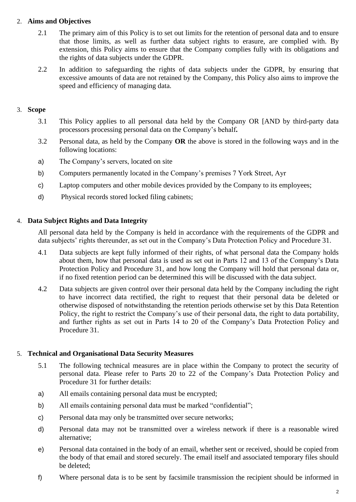## 2. **Aims and Objectives**

- 2.1 The primary aim of this Policy is to set out limits for the retention of personal data and to ensure that those limits, as well as further data subject rights to erasure, are complied with. By extension, this Policy aims to ensure that the Company complies fully with its obligations and the rights of data subjects under the GDPR.
- 2.2 In addition to safeguarding the rights of data subjects under the GDPR, by ensuring that excessive amounts of data are not retained by the Company, this Policy also aims to improve the speed and efficiency of managing data.

## 3. **Scope**

- 3.1 This Policy applies to all personal data held by the Company OR [AND by third-party data processors processing personal data on the Company's behalf**.**
- 3.2 Personal data, as held by the Company **OR** the above is stored in the following ways and in the following locations:
- a) The Company's servers, located on site
- b) Computers permanently located in the Company's premises 7 York Street, Ayr
- c) Laptop computers and other mobile devices provided by the Company to its employees;
- d) Physical records stored locked filing cabinets;

### 4. **Data Subject Rights and Data Integrity**

All personal data held by the Company is held in accordance with the requirements of the GDPR and data subjects' rights thereunder, as set out in the Company's Data Protection Policy and Procedure 31.

- 4.1 Data subjects are kept fully informed of their rights, of what personal data the Company holds about them, how that personal data is used as set out in Parts 12 and 13 of the Company's Data Protection Policy and Procedure 31, and how long the Company will hold that personal data or, if no fixed retention period can be determined this will be discussed with the data subject.
- 4.2 Data subjects are given control over their personal data held by the Company including the right to have incorrect data rectified, the right to request that their personal data be deleted or otherwise disposed of notwithstanding the retention periods otherwise set by this Data Retention Policy, the right to restrict the Company's use of their personal data, the right to data portability, and further rights as set out in Parts 14 to 20 of the Company's Data Protection Policy and Procedure 31.

### 5. **Technical and Organisational Data Security Measures**

- 5.1 The following technical measures are in place within the Company to protect the security of personal data. Please refer to Parts 20 to 22 of the Company's Data Protection Policy and Procedure 31 for further details:
- a) All emails containing personal data must be encrypted;
- b) All emails containing personal data must be marked "confidential";
- c) Personal data may only be transmitted over secure networks;
- d) Personal data may not be transmitted over a wireless network if there is a reasonable wired alternative;
- e) Personal data contained in the body of an email, whether sent or received, should be copied from the body of that email and stored securely. The email itself and associated temporary files should be deleted;
- f) Where personal data is to be sent by facsimile transmission the recipient should be informed in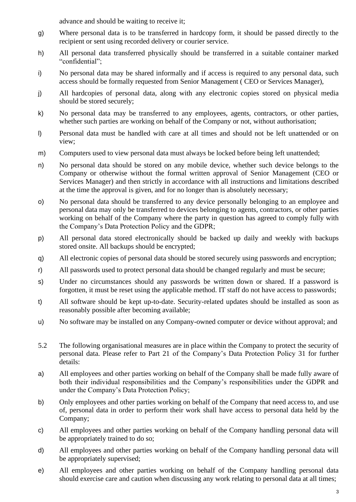advance and should be waiting to receive it;

- g) Where personal data is to be transferred in hardcopy form, it should be passed directly to the recipient or sent using recorded delivery or courier service.
- h) All personal data transferred physically should be transferred in a suitable container marked "confidential";
- i) No personal data may be shared informally and if access is required to any personal data, such access should be formally requested from Senior Management ( CEO or Services Manager),
- j) All hardcopies of personal data, along with any electronic copies stored on physical media should be stored securely;
- k) No personal data may be transferred to any employees, agents, contractors, or other parties, whether such parties are working on behalf of the Company or not, without authorisation;
- l) Personal data must be handled with care at all times and should not be left unattended or on view;
- m) Computers used to view personal data must always be locked before being left unattended;
- n) No personal data should be stored on any mobile device, whether such device belongs to the Company or otherwise without the formal written approval of Senior Management (CEO or Services Manager) and then strictly in accordance with all instructions and limitations described at the time the approval is given, and for no longer than is absolutely necessary;
- o) No personal data should be transferred to any device personally belonging to an employee and personal data may only be transferred to devices belonging to agents, contractors, or other parties working on behalf of the Company where the party in question has agreed to comply fully with the Company's Data Protection Policy and the GDPR;
- p) All personal data stored electronically should be backed up daily and weekly with backups stored onsite. All backups should be encrypted;
- q) All electronic copies of personal data should be stored securely using passwords and encryption;
- r) All passwords used to protect personal data should be changed regularly and must be secure;
- s) Under no circumstances should any passwords be written down or shared. If a password is forgotten, it must be reset using the applicable method. IT staff do not have access to passwords;
- t) All software should be kept up-to-date. Security-related updates should be installed as soon as reasonably possible after becoming available;
- u) No software may be installed on any Company-owned computer or device without approval; and
- 5.2 The following organisational measures are in place within the Company to protect the security of personal data. Please refer to Part 21 of the Company's Data Protection Policy 31 for further details:
- a) All employees and other parties working on behalf of the Company shall be made fully aware of both their individual responsibilities and the Company's responsibilities under the GDPR and under the Company's Data Protection Policy;
- b) Only employees and other parties working on behalf of the Company that need access to, and use of, personal data in order to perform their work shall have access to personal data held by the Company;
- c) All employees and other parties working on behalf of the Company handling personal data will be appropriately trained to do so;
- d) All employees and other parties working on behalf of the Company handling personal data will be appropriately supervised;
- e) All employees and other parties working on behalf of the Company handling personal data should exercise care and caution when discussing any work relating to personal data at all times;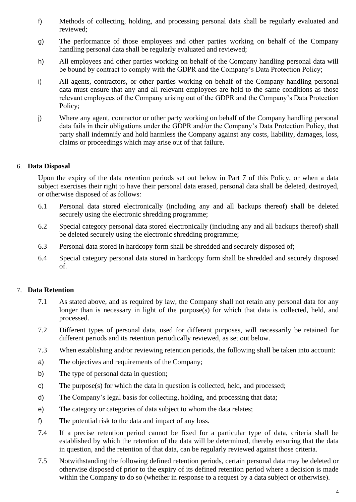- f) Methods of collecting, holding, and processing personal data shall be regularly evaluated and reviewed;
- g) The performance of those employees and other parties working on behalf of the Company handling personal data shall be regularly evaluated and reviewed;
- h) All employees and other parties working on behalf of the Company handling personal data will be bound by contract to comply with the GDPR and the Company's Data Protection Policy;
- i) All agents, contractors, or other parties working on behalf of the Company handling personal data must ensure that any and all relevant employees are held to the same conditions as those relevant employees of the Company arising out of the GDPR and the Company's Data Protection Policy;
- j) Where any agent, contractor or other party working on behalf of the Company handling personal data fails in their obligations under the GDPR and/or the Company's Data Protection Policy, that party shall indemnify and hold harmless the Company against any costs, liability, damages, loss, claims or proceedings which may arise out of that failure.

### 6. **Data Disposal**

Upon the expiry of the data retention periods set out below in Part 7 of this Policy, or when a data subject exercises their right to have their personal data erased, personal data shall be deleted, destroyed, or otherwise disposed of as follows:

- 6.1 Personal data stored electronically (including any and all backups thereof) shall be deleted securely using the electronic shredding programme;
- 6.2 Special category personal data stored electronically (including any and all backups thereof) shall be deleted securely using the electronic shredding programme;
- 6.3 Personal data stored in hardcopy form shall be shredded and securely disposed of;
- 6.4 Special category personal data stored in hardcopy form shall be shredded and securely disposed of.

# 7. **Data Retention**

- 7.1 As stated above, and as required by law, the Company shall not retain any personal data for any longer than is necessary in light of the purpose(s) for which that data is collected, held, and processed.
- 7.2 Different types of personal data, used for different purposes, will necessarily be retained for different periods and its retention periodically reviewed, as set out below.
- 7.3 When establishing and/or reviewing retention periods, the following shall be taken into account:
- a) The objectives and requirements of the Company;
- b) The type of personal data in question;
- c) The purpose(s) for which the data in question is collected, held, and processed;
- d) The Company's legal basis for collecting, holding, and processing that data;
- e) The category or categories of data subject to whom the data relates;
- f) The potential risk to the data and impact of any loss.
- 7.4 If a precise retention period cannot be fixed for a particular type of data, criteria shall be established by which the retention of the data will be determined, thereby ensuring that the data in question, and the retention of that data, can be regularly reviewed against those criteria.
- 7.5 Notwithstanding the following defined retention periods, certain personal data may be deleted or otherwise disposed of prior to the expiry of its defined retention period where a decision is made within the Company to do so (whether in response to a request by a data subject or otherwise).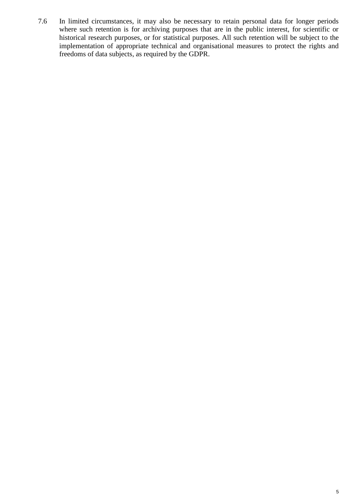7.6 In limited circumstances, it may also be necessary to retain personal data for longer periods where such retention is for archiving purposes that are in the public interest, for scientific or historical research purposes, or for statistical purposes. All such retention will be subject to the implementation of appropriate technical and organisational measures to protect the rights and freedoms of data subjects, as required by the GDPR.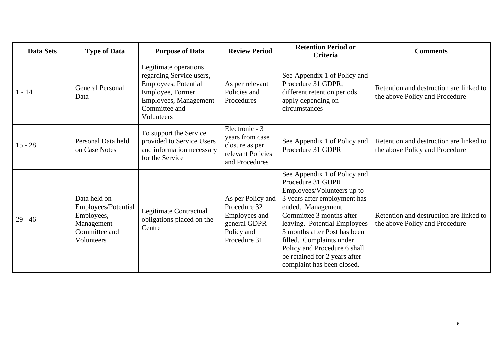| <b>Data Sets</b> | <b>Type of Data</b>                                                                            | <b>Purpose of Data</b>                                                                                                                                | <b>Review Period</b>                                                                             | <b>Retention Period or</b><br>Criteria                                                                                                                                                                                                                                                                                                                       | <b>Comments</b>                                                           |
|------------------|------------------------------------------------------------------------------------------------|-------------------------------------------------------------------------------------------------------------------------------------------------------|--------------------------------------------------------------------------------------------------|--------------------------------------------------------------------------------------------------------------------------------------------------------------------------------------------------------------------------------------------------------------------------------------------------------------------------------------------------------------|---------------------------------------------------------------------------|
| l - 14           | <b>General Personal</b><br>Data                                                                | Legitimate operations<br>regarding Service users,<br>Employees, Potential<br>Employee, Former<br>Employees, Management<br>Committee and<br>Volunteers | As per relevant<br>Policies and<br>Procedures                                                    | See Appendix 1 of Policy and<br>Procedure 31 GDPR,<br>different retention periods<br>apply depending on<br>circumstances                                                                                                                                                                                                                                     | Retention and destruction are linked to<br>the above Policy and Procedure |
| $15 - 28$        | Personal Data held<br>on Case Notes                                                            | To support the Service<br>provided to Service Users<br>and information necessary<br>for the Service                                                   | Electronic - 3<br>years from case<br>closure as per<br>relevant Policies<br>and Procedures       | See Appendix 1 of Policy and<br>Procedure 31 GDPR                                                                                                                                                                                                                                                                                                            | Retention and destruction are linked to<br>the above Policy and Procedure |
| $29 - 46$        | Data held on<br>Employees/Potential<br>Employees,<br>Management<br>Committee and<br>Volunteers | Legitimate Contractual<br>obligations placed on the<br>Centre                                                                                         | As per Policy and<br>Procedure 32<br>Employees and<br>general GDPR<br>Policy and<br>Procedure 31 | See Appendix 1 of Policy and<br>Procedure 31 GDPR.<br>Employees/Volunteers up to<br>3 years after employment has<br>ended. Management<br>Committee 3 months after<br>leaving. Potential Employees<br>3 months after Post has been<br>filled. Complaints under<br>Policy and Procedure 6 shall<br>be retained for 2 years after<br>complaint has been closed. | Retention and destruction are linked to<br>the above Policy and Procedure |